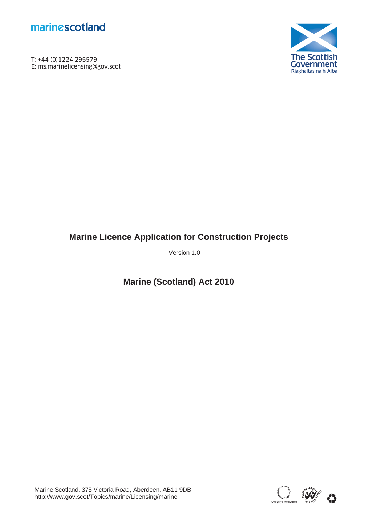

T: +44 (0)1224 295579<br>E: ms.marinelicensing@gov.scot **marine scotland**<br>T: +44 (0)1224 295579<br>E: ms.marinelicensing@gov.scot



# **Marine Licence Application for Construction Projects**

Version 1.0

**Marine (Scotland) Act 2010** 

Marine Scotland, 375 Victoria Road, Aberdeen, AB11 9DB http://www.gov.scot/Topics/marine/Licensing/marine

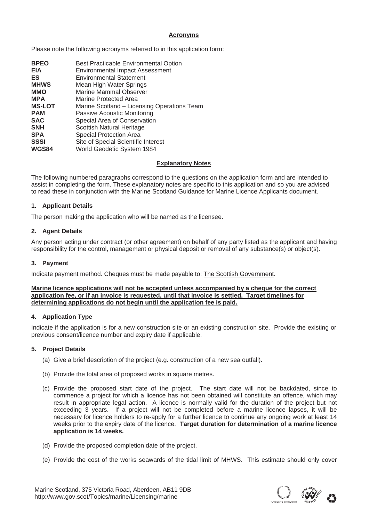### **Acronyms**

Please note the following acronyms referred to in this application form:

| <b>BPEO</b><br><b>EIA</b> | Best Practicable Environmental Option       |
|---------------------------|---------------------------------------------|
|                           | <b>Environmental Impact Assessment</b>      |
| ES                        | <b>Environmental Statement</b>              |
| <b>MHWS</b>               | Mean High Water Springs                     |
| <b>MMO</b>                | <b>Marine Mammal Observer</b>               |
| <b>MPA</b>                | Marine Protected Area                       |
| <b>MS-LOT</b>             | Marine Scotland – Licensing Operations Team |
| <b>PAM</b>                | Passive Acoustic Monitoring                 |
| <b>SAC</b>                | Special Area of Conservation                |
| <b>SNH</b>                | Scottish Natural Heritage                   |
| <b>SPA</b>                | <b>Special Protection Area</b>              |
| <b>SSSI</b>               | Site of Special Scientific Interest         |
| WGS84                     | World Geodetic System 1984                  |

### **Explanatory Notes**

The following numbered paragraphs correspond to the questions on the application form and are intended to assist in completing the form. These explanatory notes are specific to this application and so you are advised to read these in conjunction with the Marine Scotland Guidance for Marine Licence Applicants document.

### **1. Applicant Details**

The person making the application who will be named as the licensee.

### **2. Agent Details**

Any person acting under contract (or other agreement) on behalf of any party listed as the applicant and having responsibility for the control, management or physical deposit or removal of any substance(s) or object(s).

### **3. Payment**

Indicate payment method. Cheques must be made payable to: The Scottish Government.

#### **Marine licence applications will not be accepted unless accompanied by a cheque for the correct application fee, or if an invoice is requested, until that invoice is settled. Target timelines for determining applications do not begin until the application fee is paid.**

### **4. Application Type**

Indicate if the application is for a new construction site or an existing construction site. Provide the existing or previous consent/licence number and expiry date if applicable.

### **5. Project Details**

- (a) Give a brief description of the project (e.g. construction of a new sea outfall).
- (b) Provide the total area of proposed works in square metres.
- (c) Provide the proposed start date of the project. The start date will not be backdated, since to commence a project for which a licence has not been obtained will constitute an offence, which may result in appropriate legal action. A licence is normally valid for the duration of the project but not exceeding 3 years. If a project will not be completed before a marine licence lapses, it will be necessary for licence holders to re-apply for a further licence to continue any ongoing work at least 14 weeks prior to the expiry date of the licence. **Target duration for determination of a marine licence application is 14 weeks.**
- (d) Provide the proposed completion date of the project.
- (e) Provide the cost of the works seawards of the tidal limit of MHWS. This estimate should only cover

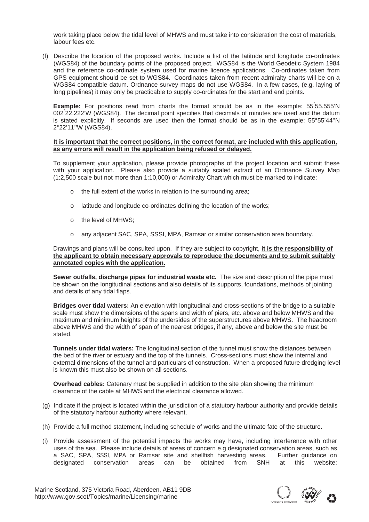work taking place below the tidal level of MHWS and must take into consideration the cost of materials, labour fees etc.

(f) Describe the location of the proposed works. Include a list of the latitude and longitude co-ordinates (WGS84) of the boundary points of the proposed project. WGS84 is the World Geodetic System 1984 and the reference co-ordinate system used for marine licence applications. Co-ordinates taken from GPS equipment should be set to WGS84. Coordinates taken from recent admiralty charts will be on a WGS84 compatible datum. Ordnance survey maps do not use WGS84. In a few cases, (e.g. laying of long pipelines) it may only be practicable to supply co-ordinates for the start and end points.

**Example:** For positions read from charts the format should be as in the example: 55°55.555'N 002° 22.222'W (WGS84). The decimal point specifies that decimals of minutes are used and the datum is stated explicitly. If seconds are used then the format should be as in the example: 55°55'44''N 2°22'11''W (WGS84).

#### **It is important that the correct positions, in the correct format, are included with this application, as any errors will result in the application being refused or delayed.**

To supplement your application, please provide photographs of the project location and submit these with your application. Please also provide a suitably scaled extract of an Ordnance Survey Map (1:2,500 scale but not more than 1:10,000) or Admiralty Chart which must be marked to indicate:

- o the full extent of the works in relation to the surrounding area;
- o latitude and longitude co-ordinates defining the location of the works;
- o the level of MHWS;
- any adjacent SAC, SPA, SSSI, MPA, Ramsar or similar conservation area boundary.

 Drawings and plans will be consulted upon. If they are subject to copyright, **it is the responsibility of the applicant to obtain necessary approvals to reproduce the documents and to submit suitably annotated copies with the application.** 

**Sewer outfalls, discharge pipes for industrial waste etc.** The size and description of the pipe must be shown on the longitudinal sections and also details of its supports, foundations, methods of jointing and details of any tidal flaps.

**Bridges over tidal waters:** An elevation with longitudinal and cross-sections of the bridge to a suitable scale must show the dimensions of the spans and width of piers, etc. above and below MHWS and the maximum and minimum heights of the undersides of the superstructures above MHWS. The headroom above MHWS and the width of span of the nearest bridges, if any, above and below the site must be stated.

**Tunnels under tidal waters:** The longitudinal section of the tunnel must show the distances between the bed of the river or estuary and the top of the tunnels. Cross-sections must show the internal and external dimensions of the tunnel and particulars of construction. When a proposed future dredging level is known this must also be shown on all sections.

**Overhead cables:** Catenary must be supplied in addition to the site plan showing the minimum clearance of the cable at MHWS and the electrical clearance allowed.

- (g) Indicate if the project is located within the jurisdiction of a statutory harbour authority and provide details of the statutory harbour authority where relevant.
- (h) Provide a full method statement, including schedule of works and the ultimate fate of the structure.
- (i) Provide assessment of the potential impacts the works may have, including interference with other uses of the sea. Please include details of areas of concern e.g designated conservation areas, such as a SAC, SPA, SSSI, MPA or Ramsar site and shellfish harvesting areas. Further guidance on designated conservation areas can be obtained from SNH at this website:

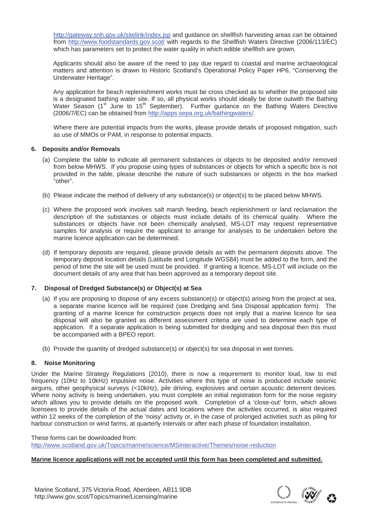http://gateway.snh.gov.uk/sitelink/index.jsp and guidance on shellfish harvesting areas can be obtained from http://www.foodstandards.gov.scot/ with regards to the Shellfish Waters Directive (2006/113/EC) which has parameters set to protect the water quality in which edible shellfish are grown.

Applicants should also be aware of the need to pay due regard to coastal and marine archaeological matters and attention is drawn to Historic Scotland's Operational Policy Paper HP6, "Conserving the Underwater Heritage".

Any application for beach replenishment works must be cross checked as to whether the proposed site is a designated bathing water site. If so, all physical works should ideally be done outwith the Bathing Water Season (1<sup>st</sup> June to 15<sup>th</sup> September). Further guidance on the Bathing Waters Directive (2006/7/EC) can be obtained from http://apps.sepa.org.uk/bathingwaters/.

Where there are potential impacts from the works, please provide details of proposed mitigation, such as use of MMOs or PAM, in response to potential impacts.

### **6. Deposits and/or Removals**

- (a) Complete the table to indicate all permanent substances or objects to be deposited and/or removed from below MHWS. If you propose using types of substances or objects for which a specific box is not provided in the table, please describe the nature of such substances or objects in the box marked "other".
- (b) Please indicate the method of delivery of any substance(s) or object(s) to be placed below MHWS.
- (c) Where the proposed work involves salt marsh feeding, beach replenishment or land reclamation the description of the substances or objects must include details of its chemical quality. Where the substances or objects have not been chemically analysed, MS-LOT may request representative samples for analysis or require the applicant to arrange for analyses to be undertaken before the marine licence application can be determined.
- (d) If temporary deposits are required, please provide details as with the permanent deposits above. The temporary deposit location details (Latitude and Longitude WGS84) must be added to the form, and the period of time the site will be used must be provided. If granting a licence, MS-LOT will include on the document details of any area that has been approved as a temporary deposit site.

### **7. Disposal of Dredged Substance(s) or Object(s) at Sea**

- (a) If you are proposing to dispose of any excess substance(s) or object(s) arising from the project at sea, a separate marine licence will be required (see Dredging and Sea Disposal application form). The granting of a marine licence for construction projects does not imply that a marine licence for sea disposal will also be granted as different assessment criteria are used to determine each type of application. If a separate application is being submitted for dredging and sea disposal then this must be accompanied with a BPEO report.
- (b) Provide the quantity of dredged substance(s) or object(s) for sea disposal in wet tonnes.

### **8. Noise Monitoring**

Under the Marine Strategy Regulations (2010), there is now a requirement to monitor loud, low to mid frequency (10Hz to 10kHz) impulsive noise. Activities where this type of noise is produced include seismic airguns, other geophysical surveys (<10kHz), pile driving, explosives and certain acoustic deterrent devices. Where noisy activity is being undertaken, you must complete an initial registration form for the noise registry which allows you to provide details on the proposed work. Completion of a 'close-out' form, which allows licensees to provide details of the actual dates and locations where the activities occurred, is also required within 12 weeks of the completion of the 'noisy' activity or, in the case of prolonged activities such as piling for harbour construction or wind farms, at quarterly intervals or after each phase of foundation installation.

These forms can be downloaded from: http://www.scotland.gov.uk/Topics/marine/science/MSInteractive/Themes/noise-reduction

### **Marine licence applications will not be accepted until this form has been completed and submitted.**

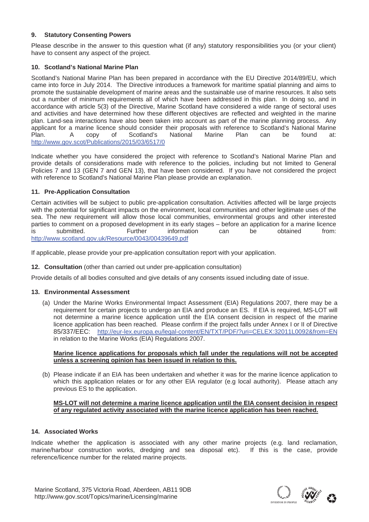### **9. Statutory Consenting Powers**

Please describe in the answer to this question what (if any) statutory responsibilities you (or your client) have to consent any aspect of the project.

### **10. Scotland's National Marine Plan**

Scotland's National Marine Plan has been prepared in accordance with the EU Directive 2014/89/EU, which came into force in July 2014. The Directive introduces a framework for maritime spatial planning and aims to promote the sustainable development of marine areas and the sustainable use of marine resources. It also sets out a number of minimum requirements all of which have been addressed in this plan. In doing so, and in accordance with article 5(3) of the Directive, Marine Scotland have considered a wide range of sectoral uses and activities and have determined how these different objectives are reflected and weighted in the marine plan. Land-sea interactions have also been taken into account as part of the marine planning process. Any applicant for a marine licence should consider their proposals with reference to Scotland's National Marine<br>
Plan an Be found at:<br>
Plan can be found at: Plan. A copy of Scotland's National Marine Plan can be found at: http://www.gov.scot/Publications/2015/03/6517/0

Indicate whether you have considered the project with reference to Scotland's National Marine Plan and provide details of considerations made with reference to the policies, including but not limited to General Policies 7 and 13 (GEN 7 and GEN 13), that have been considered. If you have not considered the project with reference to Scotland's National Marine Plan please provide an explanation.

### **11. Pre-Application Consultation**

Certain activities will be subject to public pre-application consultation. Activities affected will be large projects with the potential for significant impacts on the environment, local communities and other legitimate uses of the sea. The new requirement will allow those local communities, environmental groups and other interested parties to comment on a proposed development in its early stages – before an application for a marine licence is submitted. Further information can be obtained from: http://www.scotland.gov.uk/Resource/0043/00439649.pdf

If applicable, please provide your pre-application consultation report with your application.

**12. Consultation** (other than carried out under pre-application consultation)

Provide details of all bodies consulted and give details of any consents issued including date of issue.

### **13. Environmental Assessment**

(a) Under the Marine Works Environmental Impact Assessment (EIA) Regulations 2007, there may be a requirement for certain projects to undergo an EIA and produce an ES. If EIA is required, MS-LOT will not determine a marine licence application until the EIA consent decision in respect of the marine licence application has been reached. Please confirm if the project falls under Annex I or II of Directive 85/337/EEC: http://eur-lex.europa.eu/legal-content/EN/TXT/PDF/?uri=CELEX:32011L0092&from=EN in relation to the Marine Works (EIA) Regulations 2007.

### **Marine licence applications for proposals which fall under the regulations will not be accepted unless a screening opinion has been issued in relation to this.**

(b) Please indicate if an EIA has been undertaken and whether it was for the marine licence application to which this application relates or for any other EIA regulator (e.g local authority). Please attach any previous ES to the application.

### **MS-LOT will not determine a marine licence application until the EIA consent decision in respect of any regulated activity associated with the marine licence application has been reached.**

### **14. Associated Works**

Indicate whether the application is associated with any other marine projects (e.g. land reclamation, marine/harbour construction works, dredging and sea disposal etc). If this is the case, provide reference/licence number for the related marine projects.

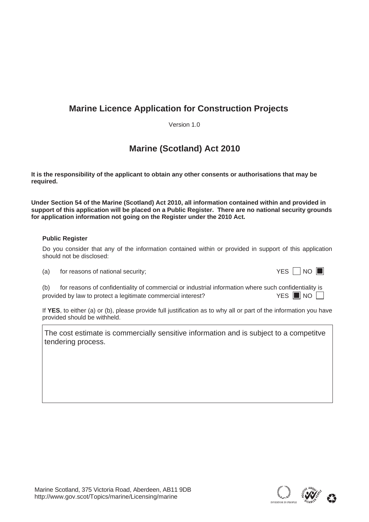# **Marine Licence Application for Construction Projects**

Version 1.0

# **Marine (Scotland) Act 2010**

**It is the responsibility of the applicant to obtain any other consents or authorisations that may be required.** 

**Under Section 54 of the Marine (Scotland) Act 2010, all information contained within and provided in support of this application will be placed on a Public Register. There are no national security grounds for application information not going on the Register under the 2010 Act.** 

### **Public Register**

Do you consider that any of the information contained within or provided in support of this application should not be disclosed:

 $(a)$  for reasons of national security;

|--|--|--|

(b) for reasons of confidentiality of commercial or industrial information where such confidentiality is provided by law to protect a legitimate commercial interest? YES **NO** NO

If **YES**, to either (a) or (b), please provide full justification as to why all or part of the information you have provided should be withheld.

The cost estimate is commercially sensitive information and is subject to a competitve tendering process.

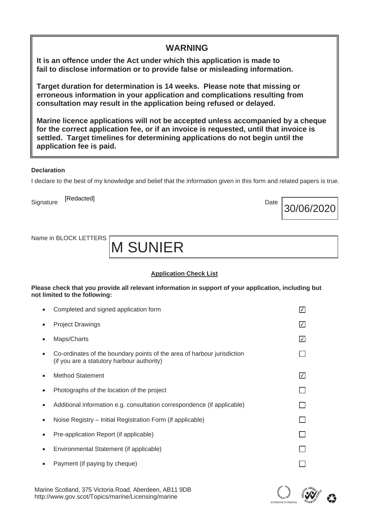| <b>WARNING</b>                                                                                                                                                                                                                                                                        |
|---------------------------------------------------------------------------------------------------------------------------------------------------------------------------------------------------------------------------------------------------------------------------------------|
| It is an offence under the Act under which this application is made to<br>fail to disclose information or to provide false or misleading information.                                                                                                                                 |
| Target duration for determination is 14 weeks. Please note that missing or<br>erroneous information in your application and complications resulting from<br>consultation may result in the application being refused or delayed.                                                      |
| Marine licence applications will not be accepted unless accompanied by a cheque<br>for the correct application fee, or if an invoice is requested, until that invoice is<br>settled. Target timelines for determining applications do not begin until the<br>application fee is paid. |
| <b>Declaration</b>                                                                                                                                                                                                                                                                    |

I declare to the best of my knowledge and belief that the information given in this form and related papers is true.

Signature [Redacted] **Example 2018** Date Date Date Date [Redacted]

Name in BLOCK LETTERS

M SUNIER

# **Application Check List**

**Please check that you provide all relevant information in support of your application, including but not limited to the following:** 

|           | Completed and signed application form                                                                                 |     |
|-----------|-----------------------------------------------------------------------------------------------------------------------|-----|
|           | <b>Project Drawings</b>                                                                                               | I√I |
|           | Maps/Charts                                                                                                           | I√I |
|           | Co-ordinates of the boundary points of the area of harbour jurisdiction<br>(if you are a statutory harbour authority) |     |
|           | <b>Method Statement</b>                                                                                               | I√I |
|           | Photographs of the location of the project                                                                            |     |
|           | Additional information e.g. consultation correspondence (if applicable)                                               |     |
|           | Noise Registry – Initial Registration Form (if applicable)                                                            |     |
|           | Pre-application Report (if applicable)                                                                                |     |
| $\bullet$ | Environmental Statement (if applicable)                                                                               |     |
|           | Payment (if paying by cheque)                                                                                         |     |
|           |                                                                                                                       |     |

Marine Scotland, 375 Victoria Road, Aberdeen, AB11 9DB http://www.gov.scot/Topics/marine/Licensing/marine



30/06/2020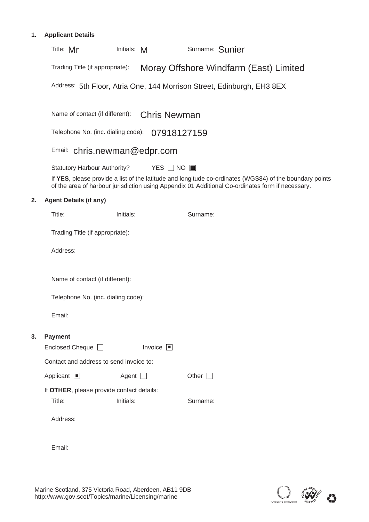# **1. Applicant Details**

|    | Surname: Sunier<br>Title: Mr<br>Initials: M                                                                                                                                                                 |  |
|----|-------------------------------------------------------------------------------------------------------------------------------------------------------------------------------------------------------------|--|
|    | Moray Offshore Windfarm (East) Limited<br>Trading Title (if appropriate):                                                                                                                                   |  |
|    | Address: 5th Floor, Atria One, 144 Morrison Street, Edinburgh, EH3 8EX                                                                                                                                      |  |
|    |                                                                                                                                                                                                             |  |
|    | Name of contact (if different):<br><b>Chris Newman</b>                                                                                                                                                      |  |
|    | Telephone No. (inc. dialing code):<br>07918127159                                                                                                                                                           |  |
|    | Email: chris.newman@edpr.com                                                                                                                                                                                |  |
|    | <b>Statutory Harbour Authority?</b><br>YES $\Box$ NO $\Box$                                                                                                                                                 |  |
|    | If YES, please provide a list of the latitude and longitude co-ordinates (WGS84) of the boundary points<br>of the area of harbour jurisdiction using Appendix 01 Additional Co-ordinates form if necessary. |  |
| 2. | <b>Agent Details (if any)</b>                                                                                                                                                                               |  |
|    | Title:<br>Initials:<br>Surname:                                                                                                                                                                             |  |
|    | Trading Title (if appropriate):                                                                                                                                                                             |  |
|    | Address:                                                                                                                                                                                                    |  |
|    |                                                                                                                                                                                                             |  |
|    | Name of contact (if different):                                                                                                                                                                             |  |
|    | Telephone No. (inc. dialing code):                                                                                                                                                                          |  |
|    | Email:                                                                                                                                                                                                      |  |
| 3. | <b>Payment</b>                                                                                                                                                                                              |  |
|    | Enclosed Cheque <sup>1</sup><br>Invoice $\Box$                                                                                                                                                              |  |
|    | Contact and address to send invoice to:                                                                                                                                                                     |  |
|    | Other $\square$<br>Applicant $\Box$<br>Agent $\Box$                                                                                                                                                         |  |
|    | If OTHER, please provide contact details:                                                                                                                                                                   |  |
|    | Title:<br>Initials:<br>Surname:                                                                                                                                                                             |  |
|    | Address:                                                                                                                                                                                                    |  |
|    |                                                                                                                                                                                                             |  |
|    | Email:                                                                                                                                                                                                      |  |

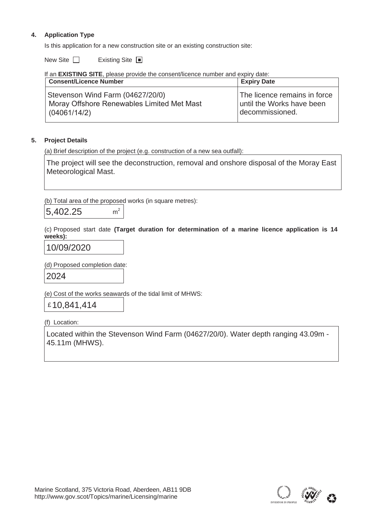# **4. Application Type**

Is this application for a new construction site or an existing construction site:

New Site ■ Existing Site

If an **EXISTING SITE**, please provide the consent/licence number and expiry date:

| <b>Consent/Licence Number</b>                                                                  | <b>Expiry Date</b>                                                           |
|------------------------------------------------------------------------------------------------|------------------------------------------------------------------------------|
| Stevenson Wind Farm (04627/20/0)<br>Moray Offshore Renewables Limited Met Mast<br>(04061/14/2) | The licence remains in force<br>until the Works have been<br>decommissioned. |

### **5. Project Details**

(a) Brief description of the project (e.g. construction of a new sea outfall):

The project will see the deconstruction, removal and onshore disposal of the Moray East Meteorological Mast.

(b) Total area of the proposed works (in square metres):

 $m<sup>2</sup>$ 5,402.25

(c) Proposed start date **(Target duration for determination of a marine licence application is 14 weeks):**

10/09/2020

(d) Proposed completion date: 2024

(e) Cost of the works seawards of the tidal limit of MHWS:

£ 10,841,414

(f) Location:

Located within the Stevenson Wind Farm (04627/20/0). Water depth ranging 43.09m - 45.11m (MHWS).

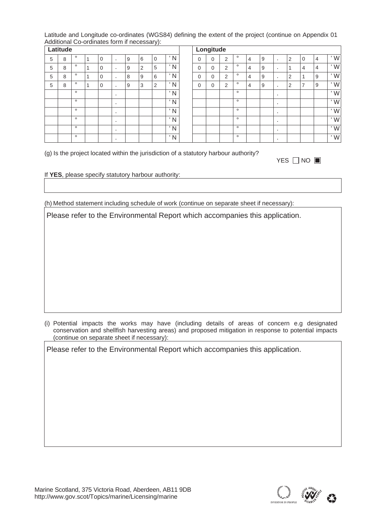Latitude and Longitude co-ordinates (WGS84) defining the extent of the project (continue on Appendix 01 Additional Co-ordinates form if necessary):

|   | Latitude |         |             |    |   |                |                |               |          | Longitude    |   |         |   |   |              |   |                |                |
|---|----------|---------|-------------|----|---|----------------|----------------|---------------|----------|--------------|---|---------|---|---|--------------|---|----------------|----------------|
| 5 | 8        | $\circ$ | $\mathbf 0$ |    | 9 | 6              | $\mathbf 0$    | 'N            | 0        | 0            | 2 | $\circ$ | 4 | 9 |              | າ | $\mathbf 0$    | 4              |
| 5 | 8        | $\circ$ | $\mathbf 0$ | ٠. | 9 | $\overline{2}$ | 5              | 'N            | 0        | $\mathbf{0}$ | 2 | $\circ$ | 4 | 9 | $\mathbf{r}$ |   | $\overline{4}$ | $\overline{4}$ |
| 5 | 8        | $\circ$ | $\mathbf 0$ |    | 8 | 9              | 6              | $^{\prime}$ N | 0        | $\mathbf{0}$ | 2 | $\circ$ | 4 | 9 | п.           | 2 |                | 9              |
| 5 | 8        | $\circ$ | $\Omega$    |    | 9 | 3              | $\overline{2}$ | 'N            | $\Omega$ | 0            | 2 | $\circ$ | 4 | 9 | $\mathbf{r}$ | 2 | $\overline{ }$ | 9              |
|   |          | $\circ$ |             |    |   |                |                | 'N            |          |              |   | $\circ$ |   |   | п.           |   |                |                |
|   |          | $\circ$ |             |    |   |                |                | 'N            |          |              |   | $\circ$ |   |   |              |   |                |                |
|   |          | $\circ$ |             |    |   |                |                | $^{\prime}$ N |          |              |   | $\circ$ |   |   | п.           |   |                |                |
|   |          | $\circ$ |             |    |   |                |                | 'N            |          |              |   | $\circ$ |   |   |              |   |                |                |
|   |          | $\circ$ |             |    |   |                |                | 'N            |          |              |   | $\circ$ |   |   | . .          |   |                |                |
|   |          | $\circ$ |             |    |   |                |                | 'N            |          |              |   | $\circ$ |   |   |              |   |                |                |

|   |             |                |   |                |                |                    |          | Longitude    |                |         |   |   |              |                |                |                |               |
|---|-------------|----------------|---|----------------|----------------|--------------------|----------|--------------|----------------|---------|---|---|--------------|----------------|----------------|----------------|---------------|
| o | $\Omega$    | $\blacksquare$ | 9 | 6              | $\mathbf 0$    | $^{\prime}$ N      | $\Omega$ | 0            | $\overline{2}$ | $\circ$ | 4 | 9 | $\mathbf{r}$ | $\overline{2}$ | 0              | $\overline{4}$ | $^{\prime}$ W |
| o | $\Omega$    | $\sim$         | 9 | $\overline{2}$ | 5              | $\mathsf{N}$<br>л. | $\Omega$ | $\mathbf{0}$ | $\overline{2}$ | $\circ$ | 4 | 9 | $\mathbf{r}$ |                | 4              | $\overline{4}$ | $^{\prime}$ W |
| o | $\Omega$    |                | 8 | 9              | 6              | N<br>л.            | $\Omega$ | 0            | $\overline{2}$ | $\circ$ | 4 | 9 | $\mathbf{r}$ | $\overline{2}$ |                | 9              | $^{\prime}$ W |
| o | $\mathbf 0$ | л.             | 9 | 3              | $\overline{2}$ | ' N                | $\Omega$ | $\mathbf 0$  | $\overline{2}$ | $\circ$ | 4 | 9 | $\mathbf{r}$ | $\overline{2}$ | $\overline{ }$ | 9              | $^{\prime}$ W |
| o |             | ٠              |   |                |                | $^{\prime}$ N      |          |              |                | $\circ$ |   |   | $\mathbf{r}$ |                |                |                | $^{\prime}$ W |
| o |             |                |   |                |                | $^{\prime}$ N      |          |              |                | $\circ$ |   |   | $\mathbf{r}$ |                |                |                | $^{\prime}$ W |
| o |             | ٠              |   |                |                | $^{\prime}$ N      |          |              |                | $\circ$ |   |   | $\mathbf{r}$ |                |                |                | ' W           |
| o |             | х.             |   |                |                | $^{\prime}$ N      |          |              |                | $\circ$ |   |   | $\mathbf{r}$ |                |                |                | $^{\prime}$ W |
| o |             |                |   |                |                | $^{\prime}$ N      |          |              |                | $\circ$ |   |   |              |                |                |                | ' W           |
| o |             | ٠              |   |                |                | $^{\prime}$ N      |          |              |                | $\circ$ |   |   | $\mathbf{r}$ |                |                |                | $^{\prime}$ W |

(g) Is the project located within the jurisdiction of a statutory harbour authority?

| is the project located within the jurisdiction or a statutory narbour additionly: |            |
|-----------------------------------------------------------------------------------|------------|
|                                                                                   | YES □ NO ■ |

If **YES**, please specify statutory harbour authority:

(h) Method statement including schedule of work (continue on separate sheet if necessary):

Please refer to the Environmental Report which accompanies this application.

(i) Potential impacts the works may have (including details of areas of concern e.g designated conservation and shellfish harvesting areas) and proposed mitigation in response to potential impacts (continue on separate sheet if necessary):

Please refer to the Environmental Report which accompanies this application.

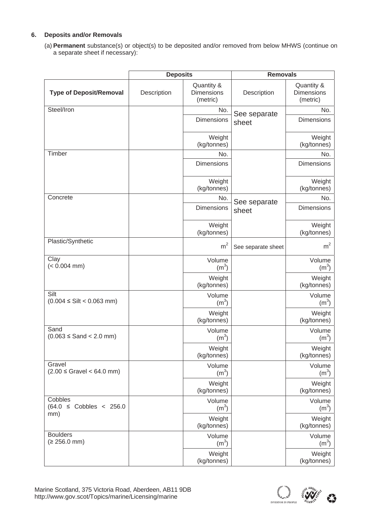### **6. Deposits and/or Removals**

(a) **Permanent** substance(s) or object(s) to be deposited and/or removed from below MHWS (continue on a separate sheet if necessary):

|                                          | <b>Deposits</b> |                                             | <b>Removals</b>    |                                             |  |  |
|------------------------------------------|-----------------|---------------------------------------------|--------------------|---------------------------------------------|--|--|
| <b>Type of Deposit/Removal</b>           | Description     | Quantity &<br><b>Dimensions</b><br>(metric) | Description        | Quantity &<br><b>Dimensions</b><br>(metric) |  |  |
| Steel/Iron                               |                 | No.                                         | See separate       | No.                                         |  |  |
|                                          |                 | Dimensions                                  | sheet              | <b>Dimensions</b>                           |  |  |
|                                          |                 | Weight<br>(kg/tonnes)                       |                    | Weight<br>(kg/tonnes)                       |  |  |
| Timber                                   |                 | No.                                         |                    | No.                                         |  |  |
|                                          |                 | <b>Dimensions</b>                           |                    | <b>Dimensions</b>                           |  |  |
|                                          |                 | Weight<br>(kg/tonnes)                       |                    | Weight<br>(kg/tonnes)                       |  |  |
| Concrete                                 |                 | No.                                         | See separate       | No.                                         |  |  |
|                                          |                 | <b>Dimensions</b>                           | sheet              | <b>Dimensions</b>                           |  |  |
|                                          |                 | Weight<br>(kg/tonnes)                       |                    | Weight<br>(kg/tonnes)                       |  |  |
| Plastic/Synthetic                        |                 | m <sup>2</sup>                              | See separate sheet | m <sup>2</sup>                              |  |  |
| Clay<br>$(< 0.004$ mm)                   |                 | Volume<br>(m <sup>3</sup> )                 |                    | Volume<br>(m <sup>3</sup> )                 |  |  |
|                                          |                 | Weight<br>(kg/tonnes)                       |                    | Weight<br>(kg/tonnes)                       |  |  |
| Silt<br>$(0.004 \leq Silt < 0.063$ mm)   |                 | Volume<br>(m <sup>3</sup> )                 |                    | Volume<br>(m <sup>3</sup> )                 |  |  |
|                                          |                 | Weight<br>(kg/tonnes)                       |                    | Weight<br>(kg/tonnes)                       |  |  |
| Sand<br>$(0.063 \leq$ Sand $<$ 2.0 mm)   |                 | Volume<br>(m <sup>3</sup> )                 |                    | Volume<br>(m <sup>3</sup> )                 |  |  |
|                                          |                 | Weight<br>(kg/tonnes)                       |                    | Weight<br>(kg/tonnes)                       |  |  |
| Gravel<br>$(2.00 \leq$ Gravel < 64.0 mm) |                 | Volume<br>(m <sup>3</sup> )                 |                    | Volume<br>(m <sup>3</sup> )                 |  |  |
|                                          |                 | Weight<br>(kg/tonnes)                       |                    | Weight<br>(kg/tonnes)                       |  |  |
| Cobbles<br>$(64.0 \leq Cobbles < 256.0$  |                 | Volume<br>(m <sup>3</sup> )                 |                    | Volume<br>(m <sup>3</sup> )                 |  |  |
| mm)                                      |                 | Weight<br>(kg/tonnes)                       |                    | Weight<br>(kg/tonnes)                       |  |  |
| <b>Boulders</b><br>(≥ 256.0 mm)          |                 | Volume<br>$(m^3)$                           |                    | Volume<br>(m <sup>3</sup> )                 |  |  |
|                                          |                 | Weight<br>(kg/tonnes)                       |                    | Weight<br>(kg/tonnes)                       |  |  |

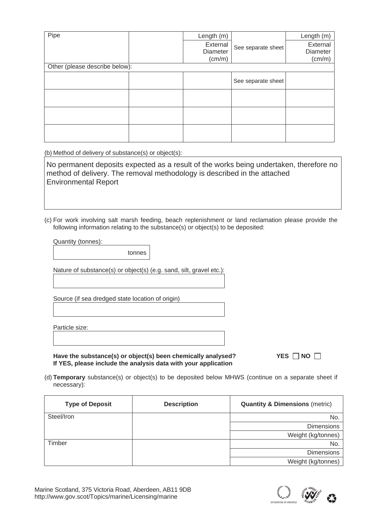| Pipe                           |  | Length (m) |                    | Length (m) |  |  |  |  |
|--------------------------------|--|------------|--------------------|------------|--|--|--|--|
|                                |  | External   | See separate sheet | External   |  |  |  |  |
|                                |  | Diameter   |                    | Diameter   |  |  |  |  |
|                                |  | (cm/m)     |                    | (cm/m)     |  |  |  |  |
| Other (please describe below): |  |            |                    |            |  |  |  |  |
|                                |  |            | See separate sheet |            |  |  |  |  |
|                                |  |            |                    |            |  |  |  |  |
|                                |  |            |                    |            |  |  |  |  |
|                                |  |            |                    |            |  |  |  |  |

(b) Method of delivery of substance(s) or object(s):

No permanent deposits expected as a result of the works being undertaken, therefore no method of delivery. The removal methodology is described in the attached Environmental Report

(c) For work involving salt marsh feeding, beach replenishment or land reclamation please provide the following information relating to the substance(s) or object(s) to be deposited:

Quantity (tonnes):

tonnes

Nature of substance(s) or object(s) (e.g. sand, silt, gravel etc.):

Source (if sea dredged state location of origin)

Particle size:

Have the substance(s) or object(s) been chemically analysed? YES NO  $\Box$ **If YES, please include the analysis data with your application** 

(d) **Temporary** substance(s) or object(s) to be deposited below MHWS (continue on a separate sheet if necessary):

| <b>Type of Deposit</b> | <b>Description</b> | <b>Quantity &amp; Dimensions (metric)</b> |
|------------------------|--------------------|-------------------------------------------|
| Steel/Iron             |                    | No.                                       |
|                        |                    | <b>Dimensions</b>                         |
|                        |                    | Weight (kg/tonnes)                        |
| Timber                 |                    | No.                                       |
|                        |                    | <b>Dimensions</b>                         |
|                        |                    | Weight (kg/tonnes)                        |

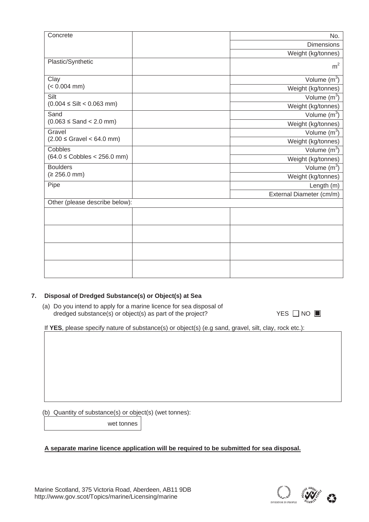| Concrete                                    |  | No.                      |  |
|---------------------------------------------|--|--------------------------|--|
|                                             |  | <b>Dimensions</b>        |  |
|                                             |  | Weight (kg/tonnes)       |  |
| Plastic/Synthetic                           |  | m <sup>2</sup>           |  |
|                                             |  |                          |  |
| Clay                                        |  | Volume $(m^3)$           |  |
| $(< 0.004$ mm)                              |  | Weight (kg/tonnes)       |  |
| Silt<br>$(0.004 \leq Silt < 0.063$ mm)      |  | Volume $(m^3)$           |  |
|                                             |  | Weight (kg/tonnes)       |  |
| Sand                                        |  | Volume $(m^3)$           |  |
| $(0.063 \leq$ Sand $<$ 2.0 mm)              |  | Weight (kg/tonnes)       |  |
| Gravel                                      |  | Volume $(m^3)$           |  |
| $(2.00 \leq$ Gravel < 64.0 mm)              |  | Weight (kg/tonnes)       |  |
| Cobbles<br>$(64.0 \leq Cobbles < 256.0$ mm) |  | Volume $(m^3)$           |  |
|                                             |  | Weight (kg/tonnes)       |  |
| <b>Boulders</b><br>$(2256.0 \text{ mm})$    |  | Volume $(m^3)$           |  |
|                                             |  | Weight (kg/tonnes)       |  |
| Pipe                                        |  | Length (m)               |  |
|                                             |  | External Diameter (cm/m) |  |
| Other (please describe below):              |  |                          |  |
|                                             |  |                          |  |
|                                             |  |                          |  |
|                                             |  |                          |  |
|                                             |  |                          |  |
|                                             |  |                          |  |
|                                             |  |                          |  |
|                                             |  |                          |  |
|                                             |  |                          |  |

### **7. Disposal of Dredged Substance(s) or Object(s) at Sea**

(a) Do you intend to apply for a marine licence for sea disposal of  $d$ redged substance $(s)$  or object $(s)$  as part of the project?

 $YES \Box NO \Box$ 

If **YES**, please specify nature of substance(s) or object(s) (e.g sand, gravel, silt, clay, rock etc.):

(b) Quantity of substance(s) or object(s) (wet tonnes):

wet tonnes

### **A separate marine licence application will be required to be submitted for sea disposal.**

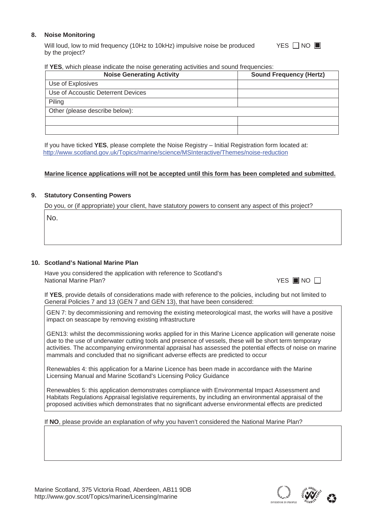### **8. Noise Monitoring**

Will loud, low to mid frequency (10Hz to 10kHz) impulsive noise be produced by the project? YES <del>NO</del> ■

### If **YES**, which please indicate the noise generating activities and sound frequencies:

| <b>Noise Generating Activity</b>   | <b>Sound Frequency (Hertz)</b> |
|------------------------------------|--------------------------------|
| Use of Explosives                  |                                |
| Use of Accoustic Deterrent Devices |                                |
| Piling                             |                                |
| Other (please describe below):     |                                |
|                                    |                                |
|                                    |                                |

If you have ticked **YES**, please complete the Noise Registry – Initial Registration form located at: http://www.scotland.gov.uk/Topics/marine/science/MSInteractive/Themes/noise-reduction

### **Marine licence applications will not be accepted until this form has been completed and submitted.**

### **9. Statutory Consenting Powers**

Do you, or (if appropriate) your client, have statutory powers to consent any aspect of this project?

No.

### **10. Scotland's National Marine Plan**

Have you considered the application with reference to Scotland's **National Marine Plan?** 

|  |  | II.<br>N0 |  |
|--|--|-----------|--|
|--|--|-----------|--|

If **YES**, provide details of considerations made with reference to the policies, including but not limited to General Policies 7 and 13 (GEN 7 and GEN 13), that have been considered:

GEN 7: by decommissioning and removing the existing meteorological mast, the works will have a positive impact on seascape by removing existing infrastructure

GEN13: whilst the decommissioning works applied for in this Marine Licence application will generate noise due to the use of underwater cutting tools and presence of vessels, these will be short term temporary activities. The accompanying environmental appraisal has assessed the potential effects of noise on marine mammals and concluded that no significant adverse effects are predicted to occur

Renewables 4: this application for a Marine Licence has been made in accordance with the Marine Licensing Manual and Marine Scotland's Licensing Policy Guidance

Renewables 5: this application demonstrates compliance with Environmental Impact Assessment and Habitats Regulations Appraisal legislative requirements, by including an environmental appraisal of the proposed activities which demonstrates that no significant adverse environmental effects are predicted

### If **NO**, please provide an explanation of why you haven't considered the National Marine Plan?